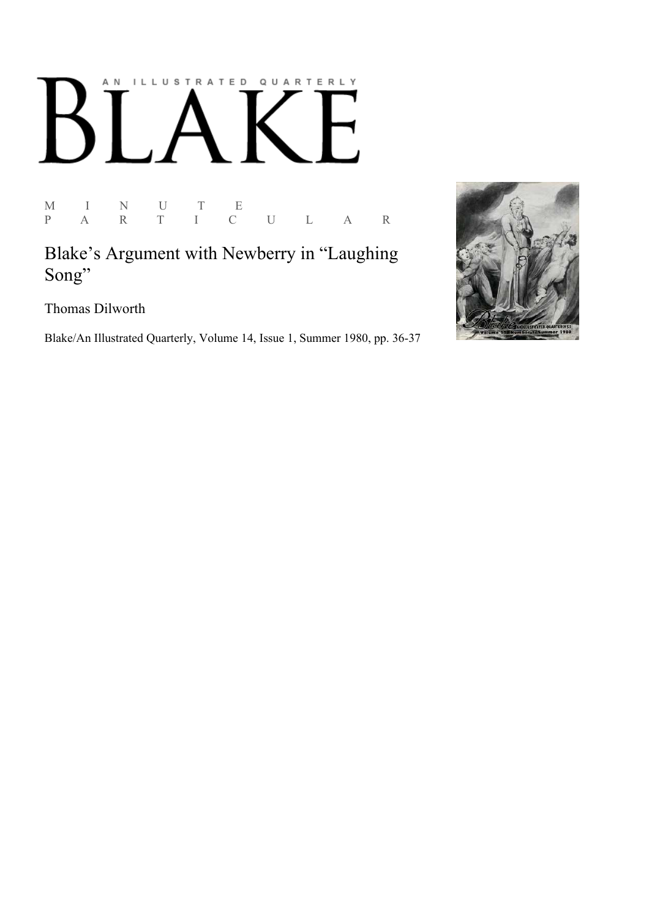# AN ILLUSTRATED QUARTERLY K

M I N U T E P A R T I C U L A R

Blake's Argument with Newberry in "Laughing Song"

Thomas Dilworth

Blake/An Illustrated Quarterly, Volume 14, Issue 1, Summer 1980, pp. 36-37

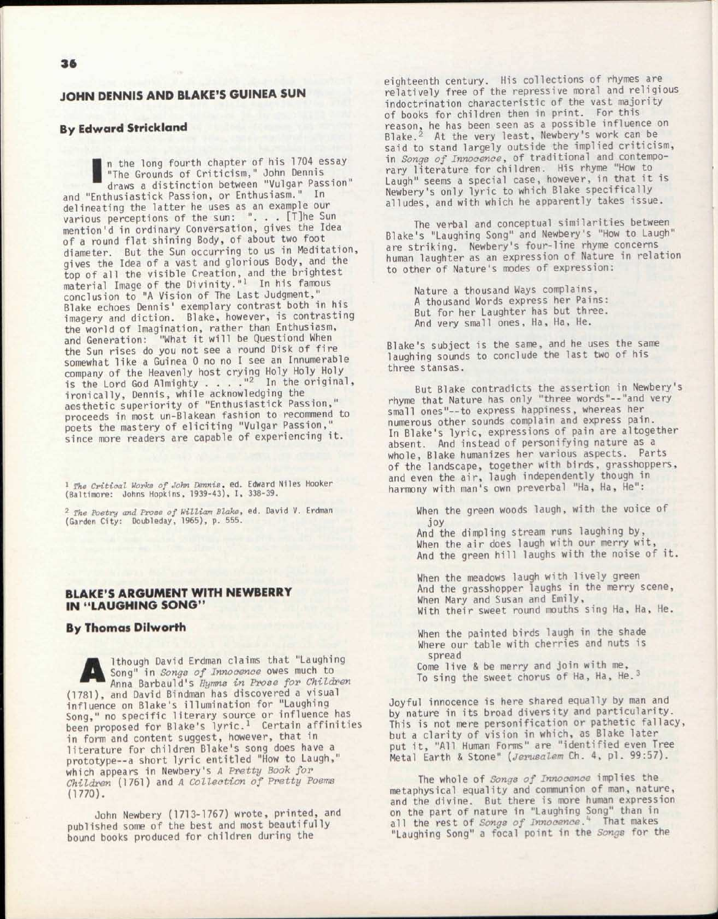# JOHN DENNIS AND BLAKE'S GUINEA SUN

# **By Edward Strickland**

**By Edward Strickland**<br> **n** the long fourth chapter of his 1704 es<br>
"The Grounds of Criticism," John Dennis<br>
draws a distinction between "Vulgar Pass<br>
and "Enthusiastick Passion, or Enthusiasm." In n the long fourth chapter of his 1704 essay "The Grounds of Criticism," John Dennis draws a distinction between "Vulgar Passion" delineating the latter he uses as an example our various perceptions of the sun: "... [T]he Sun mention'd in ordinary Conversation, gives the Idea of a round flat shining Body, of about two foot diameter. But the Sun occurring to us in Meditation, gives the Idea of a vast and glorious Body, and the top of all the visible Creation, and the brightest<br>material Image of the Divinity."<sup>1</sup> In his famous conclusion to "A Vision of The Last Judgment," Blake echoes Dennis' exemplary contrast both in his imagery and diction. Blake, however, is contrasting the world of Imagination, rather than Enthusiasm, and Generation: "What it will be Questiond When the Sun rises do you not see a round Disk of fire somewhat like a Guinea 0 no no I see an Innumerable company of the Heavenly host crying Holy Holy Holy<br>is the Lord God Almighty ... ... ... In the original, ironically, Dennis, while acknowledging the aesthetic superiority of "Enthusiastick Passion," proceeds in most un-Blakean fashion to recommend to poets the mastery of eliciting "Vulgar Passion," since more readers are capable of experiencing it .

1  *The Critical Works of John Dennis,* ed. Edward Niles Hooker (Baltimore: Johns Hopkins, 1939-43), I, 338-39.

2  *The Poetry and Prose of William Blake,* ed. David V. Erdman (Garden City: Doubleday, 1965), p. 555.

# BLAKE'S ARGUMENT WITH NEWBERRY IN "LAUGHING SONG"

# **By Thomas Dilworth**

A lthough David Erdman claims that "Laughing Song" in *Songs of Innocence* owes much to Anna Barbauld's *Hymns in Prose for Children*  (1781), and David Bindman has discovered a visual influence on Blake's illumination for "Laughing Song," no specific literary source or influence has<br>been proposed for Blake's lyric.<sup>1</sup> Certain affinities in form and content suggest, however, that in literature for children Blake's song does have a prototype--a short lyric entitled "How to Laugh," which appears in Newbery's *A Pretty Book for Children* (1761) and *A Collection of Pretty Poems*  (1770).

John Newbery (1713-1767) wrote, printed, and published some of the best and most beautifully bound books produced for children during the

eighteenth century. His collections of rhymes are relatively free of the repressive moral and religious indoctrination characteristic of the vast majority of books for children then in print. For this reason, he has been seen as a possible influence on Blake.<sup>2</sup> At the very least, Newbery's work can be said to stand largely outside the implied criticism, in *Songs of Innocence,* of traditional and contemporary literature for children. His rhyme "How to Laugh" seems a special case, however, in that it is Newbery's only lyric to which Blake specifically alludes, and with which he apparently takes issue.

The verbal and conceptual similarities between Blake's "Laughing Song" and Newbery's "How to Laugh" are striking. Newbery's four-line rhyme concerns human laughter as an expression of Nature in relation to other of Nature's modes of expression:

> Nature a thousand Ways complains, A thousand Words express her Pains: But for her Laughter has but three. And very small ones, Ha, Ha, He.

Blake's subject is the same, and he uses the same laughing sounds to conclude the last two of his three stansas.

But Blake contradicts the assertion in Newbery's rhyme that Nature has only "three words"--"and very small ones"--to express happiness, whereas her numerous other sounds complain and express pain. In Blake's lyric, expressions of pain are altogether absent. And instead of personifying nature as a whole, Blake humanizes her various aspects. Parts of the landscape, together with birds , grasshoppers, and even the air, laugh independently though in harmony with man's own preverbal "Ha, Ha, He":

When the green woods laugh, with the voice of joy

And the dimpling stream runs laughing by, When the air does laugh with our merry wit, And the green hill laughs with the noise of it.

When the meadows laugh with lively green And the grasshopper laughs in the merry scene, When Mary and Susan and Emily, With their sweet round mouths sing Ha, Ha, He.

When the painted birds laugh in the shade Where our table with cherries and nuts is spread

Come live & be merry and join with me, To sing the sweet chorus of Ha, Ha, He.<sup>3</sup>

Joyful innocence is here shared equally by man and by nature in its broad diversity and particularity. This is not mere personification or pathetic fallacy, but a clarity of vision in which, as Blake later put it , "All Human Forms" are "identified even Tree Metal Earth & Stone" (*Jerusalem* Ch. 4, pl. 99:57).

The whole of *Songs of Innocence* implies the metaphysical equality and communion of man, nature, and the divine. But there is more human expression on the part of nature in "Laughing Song" than in all the rest of *Songs of Innocence*.<sup>4</sup> That makes "Laughing Song" a focal point in the *Sonps* for the